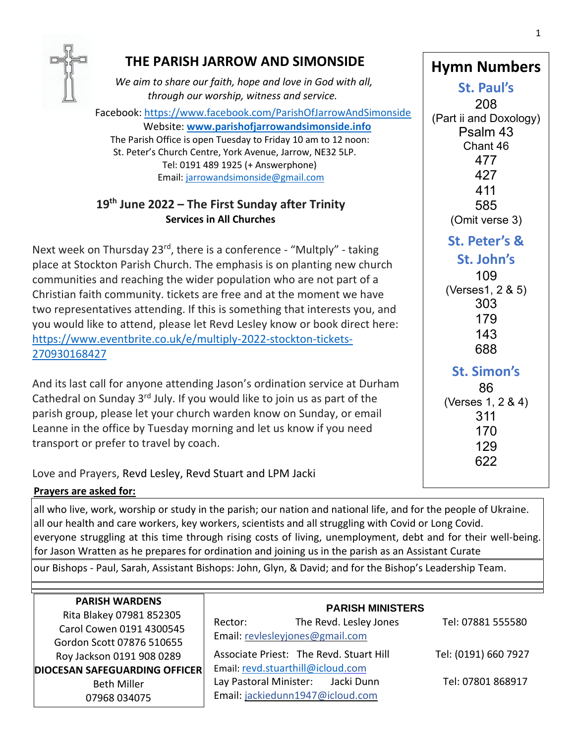

# **THE PARISH JARROW AND SIMONSIDE**

*We aim to share our faith, hope and love in God with all, through our worship, witness and service.*

 Facebook: <https://www.facebook.com/ParishOfJarrowAndSimonside> Website: **[www.parishofjarrowandsimonside.info](http://www.parishofjarrowandsimonside.info/)** The Parish Office is open Tuesday to Friday 10 am to 12 noon: St. Peter's Church Centre, York Avenue, Jarrow, NE32 5LP.

 Tel: 0191 489 1925 (+ Answerphone) Email: [jarrowandsimonside@gmail.com](mailto:jarrowandsimonside@gmail.com)

# **19 th June 2022 – The First Sunday after Trinity Services in All Churches**

 Christian faith community. tickets are free and at the moment we have Next week on Thursday 23<sup>rd</sup>, there is a conference - "Multply" - taking place at Stockton Parish Church. The emphasis is on planting new church communities and reaching the wider population who are not part of a two representatives attending. If this is something that interests you, and you would like to attend, please let Revd Lesley know or book direct here: [https://www.eventbrite.co.uk/e/multiply-2022-stockton-tickets-](https://www.eventbrite.co.uk/e/multiply-2022-stockton-tickets-270930168427)[270930168427](https://www.eventbrite.co.uk/e/multiply-2022-stockton-tickets-270930168427)

And its last call for anyone attending Jason's ordination service at Durham Cathedral on Sunday  $3^{rd}$  July. If you would like to join us as part of the parish group, please let your church warden know on Sunday, or email Leanne in the office by Tuesday morning and let us know if you need transport or prefer to travel by coach.

Love and Prayers, Revd Lesley, Revd Stuart and LPM Jacki

## **Prayers are asked for:**

all who live, work, worship or study in the parish; our nation and national life, and for the people of Ukraine. all our health and care workers, key workers, scientists and all struggling with Covid or Long Covid. everyone struggling at this time through rising costs of living, unemployment, debt and for their well-being. for Jason Wratten as he prepares for ordination and joining us in the parish as an Assistant Curate

our Bishops - Paul, Sarah, Assistant Bishops: John, Glyn, & David; and for the Bishop's Leadership Team.

| <b>PARISH WARDENS</b><br>Rita Blakey 07981 852305<br>Carol Cowen 0191 4300545<br>Gordon Scott 07876 510655 | <b>PARISH MINISTERS</b><br>The Revd. Lesley Jones<br>Rector:<br>Email: revlesleyjones@gmail.com | Tel: 07881 555580    |
|------------------------------------------------------------------------------------------------------------|-------------------------------------------------------------------------------------------------|----------------------|
| Roy Jackson 0191 908 0289                                                                                  | Associate Priest: The Revd. Stuart Hill                                                         | Tel: (0191) 660 7927 |
| <b>DIOCESAN SAFEGUARDING OFFICER</b>                                                                       | Email: revd.stuarthill@icloud.com                                                               |                      |
| <b>Beth Miller</b><br>07968 034075                                                                         | Lay Pastoral Minister: Jacki Dunn<br>Email: jackiedunn1947@icloud.com                           | Tel: 07801 868917    |

1

**St. Paul's** 208 (Part ii and Doxology) Psalm 43 Chant 46 477 427 411 585 (Omit verse 3) **St. Peter's & St. John's** 109 (Verses1, 2 & 5) 303 179 143 688 **St. Simon's** 86 (Verses 1, 2 & 4) 311 170 129 622

**Hymn Numbers**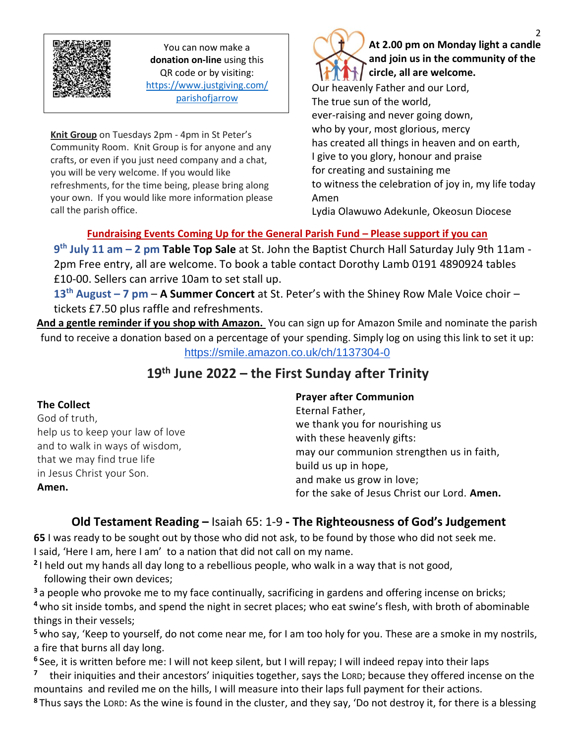

You can now make a **donation on-line** using this QR code or by visiting: [https://www.justgiving.com/](https://www.justgiving.com/parishofjarrow) [parishofjarrow](https://www.justgiving.com/parishofjarrow)

Thank you.

**Knit Group** on Tuesdays 2pm - 4pm in St Peter's Community Room. Knit Group is for anyone and any crafts, or even if you just need company and a chat, you will be very welcome. If you would like refreshments, for the time being, please bring along your own. If you would like more information please call the parish office.

Our heavenly Father and our Lord, The true sun of the world, ever-raising and never going down, who by your, most glorious, mercy has created all things in heaven and on earth, I give to you glory, honour and praise for creating and sustaining me to witness the celebration of joy in, my life today **At 2.00 pm on Monday light a candle and join us in the community of the circle, all are welcome.**

Lydia Olawuwo Adekunle, Okeosun Diocese

# **Fundraising Events Coming Up for the General Parish Fund – Please support if you can**

**9 th July 11 am – 2 pm Table Top Sale** at St. John the Baptist Church Hall Saturday July 9th 11am - 2pm Free entry, all are welcome. To book a table contact Dorothy Lamb 0191 4890924 tables £10-00. Sellers can arrive 10am to set stall up.

Amen

**13th August – 7 pm** – **A Summer Concert** at St. Peter's with the Shiney Row Male Voice choir – tickets £7.50 plus raffle and refreshments.

**And a gentle reminder if you shop with Amazon.** You can sign up for Amazon Smile and nominate the parish fund to receive a donation based on a percentage of your spending. Simply log on using this link to set it up: <https://smile.amazon.co.uk/ch/1137304-0>

# **19 th June 2022 – the First Sunday after Trinity**

## **The Collect**

God of truth, help us to keep your law of love and to walk in ways of wisdom, that we may find true life in Jesus Christ your Son. **Amen.**

### **Prayer after Communion**

Eternal Father, we thank you for nourishing us with these heavenly gifts: may our communion strengthen us in faith, build us up in hope, and make us grow in love; for the sake of Jesus Christ our Lord. **Amen.**

# **Old Testament Reading –** Isaiah 65: 1-9 **- The Righteousness of God's Judgement**

**65** I was ready to be sought out by those who did not ask, to be found by those who did not seek me. I said, 'Here I am, here I am' to a nation that did not call on my name.

**2** I held out my hands all day long to a rebellious people, who walk in a way that is not good, following their own devices;

**<sup>3</sup>** a people who provoke me to my face continually, sacrificing in gardens and offering incense on bricks;

**<sup>4</sup>** who sit inside tombs, and spend the night in secret places; who eat swine's flesh, with broth of abominable things in their vessels;

**<sup>5</sup>** who say, 'Keep to yourself, do not come near me, for I am too holy for you. These are a smoke in my nostrils, a fire that burns all day long.

**<sup>6</sup>** See, it is written before me: I will not keep silent, but I will repay; I will indeed repay into their laps

**7** their iniquities and their ancestors' iniquities together, says the LORD; because they offered incense on the mountains and reviled me on the hills, I will measure into their laps full payment for their actions.

**<sup>8</sup>** Thus says the LORD: As the wine is found in the cluster, and they say, 'Do not destroy it, for there is a blessing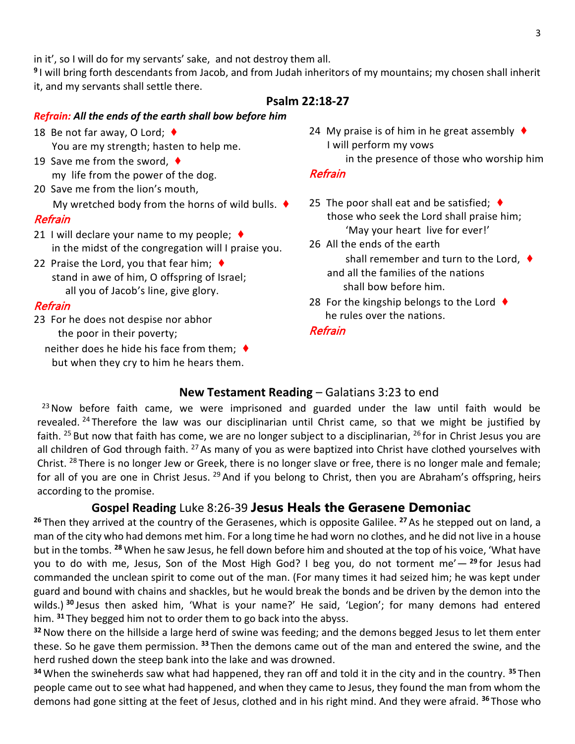in it', so I will do for my servants' sake, and not destroy them all.

**9** I will bring forth descendants from Jacob, and from Judah inheritors of my mountains; my chosen shall inherit it, and my servants shall settle there.

#### **Psalm 22:18-27**

#### *Refrain: All the ends of the earth shall bow before him*

- 18 Be not far away, O Lord; ♦ You are my strength; hasten to help me.
- 19 Save me from the sword, ♦ my life from the power of the dog.
- 20 Save me from the lion's mouth, My wretched body from the horns of wild bulls.  $\blacklozenge$

#### **Refrain**

- 21 I will declare your name to my people;  $\triangleleft$ in the midst of the congregation will I praise you.
- 22 Praise the Lord, you that fear him;  $\blacklozenge$ stand in awe of him, O offspring of Israel; all you of Jacob's line, give glory.

### Refrain

- 23 For he does not despise nor abhor the poor in their poverty;
	- neither does he hide his face from them;  $\blacklozenge$ but when they cry to him he hears them.
- 24 My praise is of him in he great assembly  $\blacklozenge$ I will perform my vows
	- in the presence of those who worship him

#### Refrain

- 25 The poor shall eat and be satisfied;  $\blacklozenge$ those who seek the Lord shall praise him; 'May your heart live for ever!'
- 26 All the ends of the earth shall remember and turn to the Lord, ♦ and all the families of the nations shall bow before him.
- 28 For the kingship belongs to the Lord  $\blacklozenge$ he rules over the nations.

#### **Refrain**

## **New Testament Reading** – Galatians 3:23 to end

 $23$  Now before faith came, we were imprisoned and guarded under the law until faith would be revealed. <sup>24</sup> Therefore the law was our disciplinarian until Christ came, so that we might be justified by faith. <sup>25</sup> But now that faith has come, we are no longer subject to a disciplinarian, <sup>26</sup> for in Christ Jesus you are all children of God through faith. <sup>27</sup> As many of you as were baptized into Christ have clothed yourselves with Christ. <sup>28</sup> There is no longer Jew or Greek, there is no longer slave or free, there is no longer male and female; for all of you are one in Christ Jesus. <sup>29</sup> And if you belong to Christ, then you are Abraham's offspring, heirs according to the promise.

# **Gospel Reading** Luke 8:26-39 **Jesus Heals the Gerasene Demoniac**

**<sup>26</sup>** Then they arrived at the country of the Gerasenes, which is opposite Galilee. **<sup>27</sup>** As he stepped out on land, a man of the city who had demons met him. For a long time he had worn no clothes, and he did not live in a house but in the tombs. **<sup>28</sup>** When he saw Jesus, he fell down before him and shouted at the top of his voice, 'What have you to do with me, Jesus, Son of the Most High God? I beg you, do not torment me'— **<sup>29</sup>** for Jesus had commanded the unclean spirit to come out of the man. (For many times it had seized him; he was kept under guard and bound with chains and shackles, but he would break the bonds and be driven by the demon into the wilds.) **<sup>30</sup>** Jesus then asked him, 'What is your name?' He said, 'Legion'; for many demons had entered him. **<sup>31</sup>** They begged him not to order them to go back into the abyss.

**<sup>32</sup>**Now there on the hillside a large herd of swine was feeding; and the demons begged Jesus to let them enter these. So he gave them permission. **<sup>33</sup>** Then the demons came out of the man and entered the swine, and the herd rushed down the steep bank into the lake and was drowned.

**<sup>34</sup>** When the swineherds saw what had happened, they ran off and told it in the city and in the country. **<sup>35</sup>** Then people came out to see what had happened, and when they came to Jesus, they found the man from whom the demons had gone sitting at the feet of Jesus, clothed and in his right mind. And they were afraid. **<sup>36</sup>** Those who